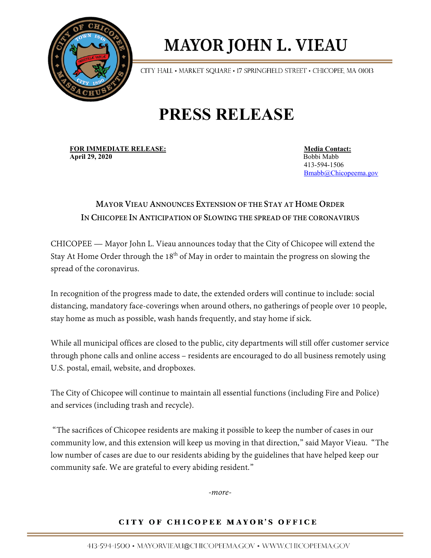

# **MAYOR JOHN L. VIEAU**

CITY HALL • MARKET SQUARE • 17 SPRINGFIELD STREET • CHICOPEE, MA 01013

## **PRESS RELEASE**

**FOR IMMEDIATE RELEASE:** Media Contact:<br> **April 29, 2020**<br> **April 29, 2020 April 29, 2020** Bobbi Mabb

 413-594-1506 [Bmabb@Chicopeema.gov](mailto:Bmabb@Chicopeema.gov)

### **MAYOR VIEAU ANNOUNCES EXTENSION OF THE STAY AT HOME ORDER IN CHICOPEE IN ANTICIPATION OF SLOWING THE SPREAD OF THE CORONAVIRUS**

CHICOPEE — Mayor John L. Vieau announces today that the City of Chicopee will extend the Stay At Home Order through the  $18<sup>th</sup>$  of May in order to maintain the progress on slowing the spread of the coronavirus.

In recognition of the progress made to date, the extended orders will continue to include: social distancing, mandatory face-coverings when around others, no gatherings of people over 10 people, stay home as much as possible, wash hands frequently, and stay home if sick.

While all municipal offices are closed to the public, city departments will still offer customer service through phone calls and online access – residents are encouraged to do all business remotely using U.S. postal, email, website, and dropboxes.

The City of Chicopee will continue to maintain all essential functions (including Fire and Police) and services (including trash and recycle).

"The sacrifices of Chicopee residents are making it possible to keep the number of cases in our community low, and this extension will keep us moving in that direction," said Mayor Vieau. "The low number of cases are due to our residents abiding by the guidelines that have helped keep our community safe. We are grateful to every abiding resident."

*-more-*

### CITY OF CHICOPEE MAYOR'S OFFICE